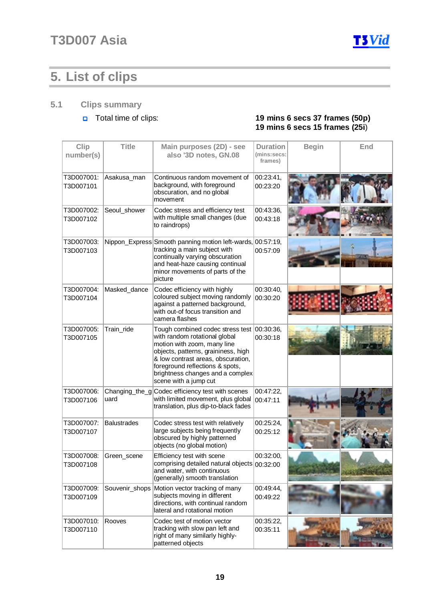

## **5. List of clips**

## **5.1 Clips summary**

## Total time of clips: **19 mins 6 secs 37 frames (50p) 19 mins 6 secs 15 frames (25i**)

| Clip<br>number(s)       | <b>Title</b>       | Main purposes (2D) - see<br>also '3D notes, GN.08                                                                                                                                                                                                                             | <b>Duration</b><br>(mins:secs:<br>frames) | <b>Begin</b> | End |
|-------------------------|--------------------|-------------------------------------------------------------------------------------------------------------------------------------------------------------------------------------------------------------------------------------------------------------------------------|-------------------------------------------|--------------|-----|
| T3D007001:<br>T3D007101 | Asakusa_man        | Continuous random movement of<br>background, with foreground<br>obscuration, and no global<br>movement                                                                                                                                                                        | 00:23:41,<br>00:23:20                     |              |     |
| T3D007002:<br>T3D007102 | Seoul_shower       | Codec stress and efficiency test<br>with multiple small changes (due<br>to raindrops)                                                                                                                                                                                         | 00:43:36,<br>00:43:18                     |              |     |
| T3D007003:<br>T3D007103 |                    | Nippon_Express Smooth panning motion left-wards, 00:57:19,<br>tracking a main subject with<br>continually varying obscuration<br>and heat-haze causing continual<br>minor movements of parts of the<br>picture                                                                | 00:57:09                                  |              |     |
| T3D007004:<br>T3D007104 | Masked_dance       | Codec efficiency with highly<br>coloured subject moving randomly<br>against a patterned background,<br>with out-of focus transition and<br>camera flashes                                                                                                                     | 00:30:40,<br>00:30:20                     |              |     |
| T3D007005:<br>T3D007105 | Train_ride         | Tough combined codec stress test<br>with random rotational global<br>motion with zoom, many line<br>objects, patterns, graininess, high<br>& low contrast areas, obscuration,<br>foreground reflections & spots,<br>brightness changes and a complex<br>scene with a jump cut | 00:30:36 <br>00:30:18                     |              |     |
| T3D007006:<br>T3D007106 | uard               | Changing_the_g Codec efficiency test with scenes<br>with limited movement, plus global<br>translation, plus dip-to-black fades                                                                                                                                                | 00:47:22,<br>00:47:11                     |              |     |
| T3D007007:<br>T3D007107 | <b>Balustrades</b> | Codec stress test with relatively<br>large subjects being frequently<br>obscured by highly patterned<br>objects (no global motion)                                                                                                                                            | 00:25:24,<br>00:25:12                     |              |     |
| T3D007008:<br>T3D007108 | Green scene        | Efficiency test with scene<br>comprising detailed natural objects 00:32:00<br>and water, with continuous<br>(generally) smooth translation                                                                                                                                    | 00:32:00,                                 |              |     |
| T3D007009:<br>T3D007109 | Souvenir_shops     | Motion vector tracking of many<br>subjects moving in different<br>directions, with continual random<br>lateral and rotational motion                                                                                                                                          | 00:49:44,<br>00:49:22                     |              |     |
| T3D007010:<br>T3D007110 | Rooves             | Codec test of motion vector<br>tracking with slow pan left and<br>right of many similarly highly-<br>patterned objects                                                                                                                                                        | 00:35:22,<br>00:35:11                     |              |     |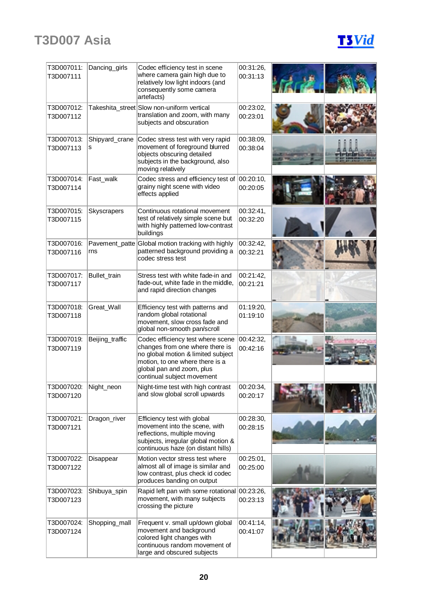## **T3D007 Asia**

|--|--|--|

| T3D007011:<br>T3D007111 | Dancing_girls       | Codec efficiency test in scene<br>where camera gain high due to<br>relatively low light indoors (and<br>consequently some camera<br>artefacts)                                                           | 00:31:26,<br>00:31:13 |  |
|-------------------------|---------------------|----------------------------------------------------------------------------------------------------------------------------------------------------------------------------------------------------------|-----------------------|--|
| T3D007012:<br>T3D007112 |                     | Takeshita_street Slow non-uniform vertical<br>translation and zoom, with many<br>subjects and obscuration                                                                                                | 00:23:02,<br>00:23:01 |  |
| T3D007013:<br>T3D007113 | Shipyard_crane<br>s | Codec stress test with very rapid<br>movement of foreground blurred<br>objects obscuring detailed<br>subjects in the background, also<br>moving relatively                                               | 00:38:09,<br>00:38:04 |  |
| T3D007014:<br>T3D007114 | Fast_walk           | Codec stress and efficiency test of<br>grainy night scene with video<br>effects applied                                                                                                                  | 00:20:10,<br>00:20:05 |  |
| T3D007015:<br>T3D007115 | Skyscrapers         | Continuous rotational movement<br>test of relatively simple scene but<br>with highly patterned low-contrast<br>buildings                                                                                 | 00:32:41,<br>00:32:20 |  |
| T3D007016:<br>T3D007116 | rns                 | Pavement_patte Global motion tracking with highly<br>patterned background providing a<br>codec stress test                                                                                               | 00:32:42,<br>00:32:21 |  |
| T3D007017:<br>T3D007117 | Bullet_train        | Stress test with white fade-in and<br>fade-out, white fade in the middle,<br>and rapid direction changes                                                                                                 | 00:21:42,<br>00:21:21 |  |
| T3D007018:<br>T3D007118 | Great_Wall          | Efficiency test with patterns and<br>random global rotational<br>movement, slow cross fade and<br>global non-smooth pan/scroll                                                                           | 01:19:20,<br>01:19:10 |  |
| T3D007019:<br>T3D007119 | Beijing_traffic     | Codec efficiency test where scene<br>changes from one where there is<br>no global motion & limited subject<br>motion, to one where there is a<br>global pan and zoom, plus<br>continual subject movement | 00:42:32,<br>00:42:16 |  |
| T3D007020:<br>T3D007120 | Night_neon          | Night-time test with high contrast<br>and slow global scroll upwards                                                                                                                                     | 00:20:34,<br>00:20:17 |  |
| T3D007021:<br>T3D007121 | Dragon_river        | Efficiency test with global<br>movement into the scene, with<br>reflections, multiple moving<br>subjects, irregular global motion &<br>continuous haze (on distant hills)                                | 00:28:30,<br>00:28:15 |  |
| T3D007022:<br>T3D007122 | Disappear           | Motion vector stress test where<br>almost all of image is similar and<br>low contrast, plus check id codec<br>produces banding on output                                                                 | 00:25:01,<br>00:25:00 |  |
| T3D007023:<br>T3D007123 | Shibuya_spin        | Rapid left pan with some rotational<br>movement, with many subjects<br>crossing the picture                                                                                                              | 00:23:26,<br>00:23:13 |  |
| T3D007024:<br>T3D007124 | Shopping_mall       | Frequent v. small up/down global<br>movement and background<br>colored light changes with<br>continuous random movement of<br>large and obscured subjects                                                | 00:41:14,<br>00:41:07 |  |